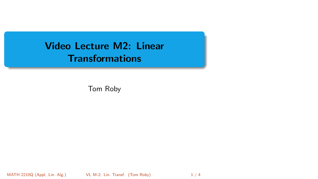<span id="page-0-0"></span>Video Lecture M2: Linear **Transformations** 

Tom Roby

MATH 2210Q (Appl. Lin. Alg.) VL M-2: Lin. Transf. (Tom Roby) 1 / 4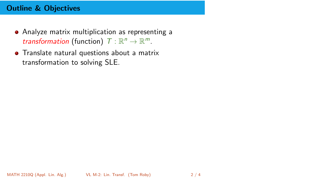## Outline & Objectives

- Analyze matrix multiplication as representing a transformation (function)  $T: \mathbb{R}^n \to \mathbb{R}^m$ .
- **•** Translate natural questions about a matrix transformation to solving SLE.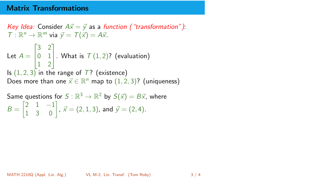## Matrix Transformations

Key Idea: Consider  $A\vec{x} = \vec{y}$  as a function ("transformation"):  $T: \mathbb{R}^n \to \mathbb{R}^m$  via  $\vec{y} = T(\vec{x}) = A\vec{x}$ . Let  $A =$  $\sqrt{ }$  $\overline{1}$ 3 2 0 1 1 2 1  $\vert$  . What is  $\mathcal{T}(1,2)$ ? (evaluation) Is  $(1, 2, 3)$  in the range of  $T$ ? (existence) Does more than one  $\vec{x} \in \mathbb{R}^n$  map to  $(1, 2, 3)$ ? (uniqueness)

Same questions for 
$$
S : \mathbb{R}^3 \to \mathbb{R}^2
$$
 by  $S(\vec{x}) = B\vec{x}$ , where  
\n $B = \begin{bmatrix} 2 & 1 & -1 \\ 1 & 3 & 0 \end{bmatrix}$ ,  $\vec{x} = (2, 1, 3)$ , and  $\vec{y} = (2, 4)$ .

MATH 2210Q (Appl. Lin. Alg.) [VL M-2: Lin. Transf.](#page-0-0) (Tom Roby) 3 / 4